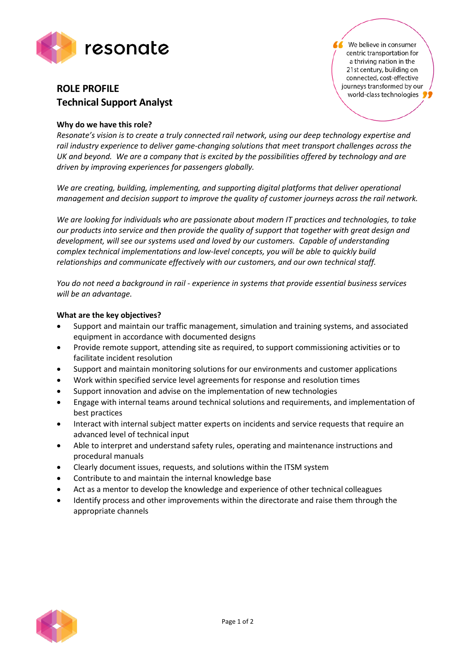

# **ROLE PROFILE Technical Support Analyst**

## **Why do we have this role?**

*Resonate's vision is to create a truly connected rail network, using our deep technology expertise and rail industry experience to deliver game-changing solutions that meet transport challenges across the UK and beyond. We are a company that is excited by the possibilities offered by technology and are driven by improving experiences for passengers globally.*

*We are creating, building, implementing, and supporting digital platforms that deliver operational management and decision support to improve the quality of customer journeys across the rail network.*

*We are looking for individuals who are passionate about modern IT practices and technologies, to take our products into service and then provide the quality of support that together with great design and development, will see our systems used and loved by our customers. Capable of understanding complex technical implementations and low-level concepts, you will be able to quickly build relationships and communicate effectively with our customers, and our own technical staff.*

*You do not need a background in rail - experience in systems that provide essential business services will be an advantage.*

## **What are the key objectives?**

- Support and maintain our traffic management, simulation and training systems, and associated equipment in accordance with documented designs
- Provide remote support, attending site as required, to support commissioning activities or to facilitate incident resolution
- Support and maintain monitoring solutions for our environments and customer applications
- Work within specified service level agreements for response and resolution times
- Support innovation and advise on the implementation of new technologies
- Engage with internal teams around technical solutions and requirements, and implementation of best practices
- Interact with internal subject matter experts on incidents and service requests that require an advanced level of technical input
- Able to interpret and understand safety rules, operating and maintenance instructions and procedural manuals
- Clearly document issues, requests, and solutions within the ITSM system
- Contribute to and maintain the internal knowledge base
- Act as a mentor to develop the knowledge and experience of other technical colleagues
- Identify process and other improvements within the directorate and raise them through the appropriate channels



We believe in consumer centric transportation for a thriving nation in the 21st century, building on connected, cost-effective journeys transformed by our world-class technologies